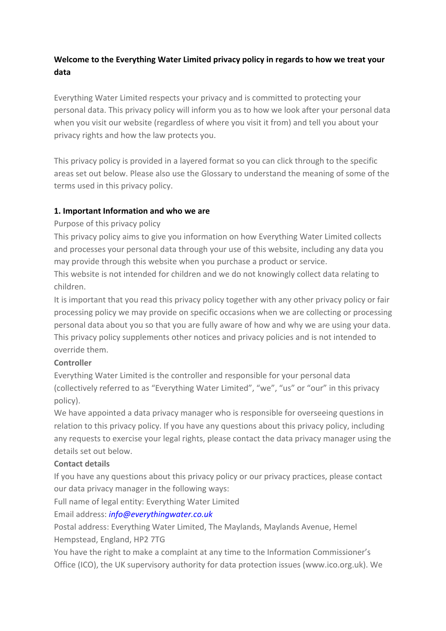## **Welcome to the Everything Water Limited privacy policy in regards to how we treat your data**

Everything Water Limited respects your privacy and is committed to protecting your personal data. This privacy policy will inform you as to how we look after your personal data when you visit our website (regardless of where you visit it from) and tell you about your privacy rights and how the law protects you.

This privacy policy is provided in a layered format so you can click through to the specific areas set out below. Please also use the Glossary to understand the meaning of some of the terms used in this privacy policy.

## **1. Important Information and who we are**

#### Purpose of this privacy policy

This privacy policy aims to give you information on how Everything Water Limited collects and processes your personal data through your use of this website, including any data you may provide through this website when you purchase a product or service.

This website is not intended for children and we do not knowingly collect data relating to children.

It is important that you read this privacy policy together with any other privacy policy or fair processing policy we may provide on specific occasions when we are collecting or processing personal data about you so that you are fully aware of how and why we are using your data. This privacy policy supplements other notices and privacy policies and is not intended to override them.

#### **Controller**

Everything Water Limited is the controller and responsible for your personal data (collectively referred to as "Everything Water Limited", "we", "us" or "our" in this privacy policy).

We have appointed a data privacy manager who is responsible for overseeing questions in relation to this privacy policy. If you have any questions about this privacy policy, including any requests to exercise your legal rights, please contact the data privacy manager using the details set out below.

#### **Contact details**

If you have any questions about this privacy policy or our privacy practices, please contact our data privacy manager in the following ways:

Full name of legal entity: Everything Water Limited

Email address: *info@everythingwater.co.uk*

Postal address: Everything Water Limited, The Maylands, Maylands Avenue, Hemel Hempstead, England, HP2 7TG

You have the right to make a complaint at any time to the Information Commissioner's Office (ICO), the UK supervisory authority for data protection issues (www.ico.org.uk). We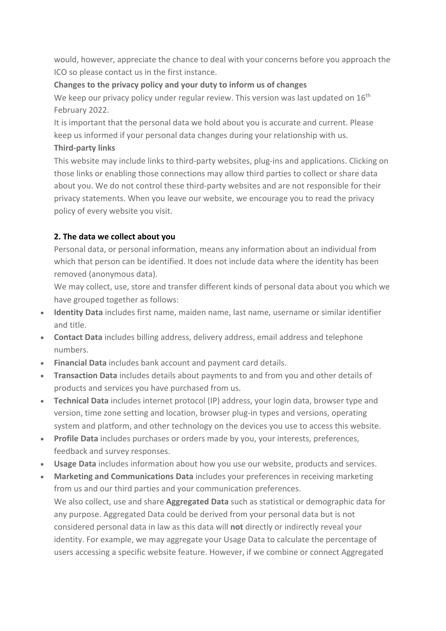would, however, appreciate the chance to deal with your concerns before you approach the ICO so please contact us in the first instance.

## **Changes to the privacy policy and your duty to inform us of changes**

We keep our privacy policy under regular review. This version was last updated on 16<sup>th</sup> February 2022.

It is important that the personal data we hold about you is accurate and current. Please keep us informed if your personal data changes during your relationship with us.

## **Third-party links**

This website may include links to third-party websites, plug-ins and applications. Clicking on those links or enabling those connections may allow third parties to collect or share data about you. We do not control these third-party websites and are not responsible for their privacy statements. When you leave our website, we encourage you to read the privacy policy of every website you visit.

## **2. The data we collect about you**

Personal data, or personal information, means any information about an individual from which that person can be identified. It does not include data where the identity has been removed (anonymous data).

We may collect, use, store and transfer different kinds of personal data about you which we have grouped together as follows:

- **Identity Data** includes first name, maiden name, last name, username or similar identifier and title.
- **Contact Data** includes billing address, delivery address, email address and telephone numbers.
- **Financial Data** includes bank account and payment card details.
- **Transaction Data** includes details about payments to and from you and other details of products and services you have purchased from us.
- **Technical Data** includes internet protocol (IP) address, your login data, browser type and version, time zone setting and location, browser plug-in types and versions, operating system and platform, and other technology on the devices you use to access this website.
- **Profile Data** includes purchases or orders made by you, your interests, preferences, feedback and survey responses.
- **Usage Data** includes information about how you use our website, products and services.
- **Marketing and Communications Data** includes your preferences in receiving marketing from us and our third parties and your communication preferences. We also collect, use and share **Aggregated Data** such as statistical or demographic data for any purpose. Aggregated Data could be derived from your personal data but is not considered personal data in law as this data will **not** directly or indirectly reveal your identity. For example, we may aggregate your Usage Data to calculate the percentage of users accessing a specific website feature. However, if we combine or connect Aggregated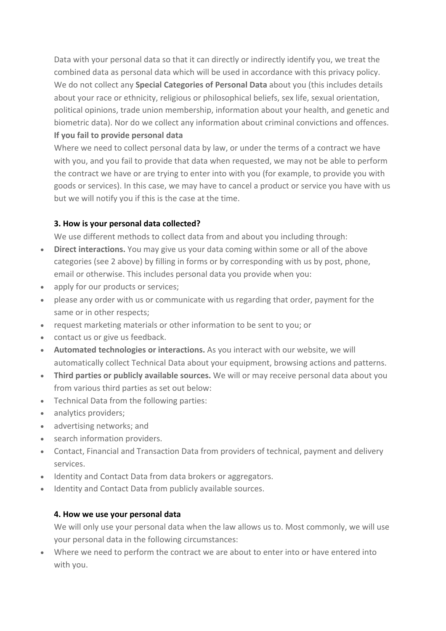Data with your personal data so that it can directly or indirectly identify you, we treat the combined data as personal data which will be used in accordance with this privacy policy. We do not collect any **Special Categories of Personal Data** about you (this includes details about your race or ethnicity, religious or philosophical beliefs, sex life, sexual orientation, political opinions, trade union membership, information about your health, and genetic and biometric data). Nor do we collect any information about criminal convictions and offences. **If you fail to provide personal data**

Where we need to collect personal data by law, or under the terms of a contract we have with you, and you fail to provide that data when requested, we may not be able to perform the contract we have or are trying to enter into with you (for example, to provide you with goods or services). In this case, we may have to cancel a product or service you have with us but we will notify you if this is the case at the time.

#### **3. How is your personal data collected?**

We use different methods to collect data from and about you including through:

- **Direct interactions.** You may give us your data coming within some or all of the above categories (see 2 above) by filling in forms or by corresponding with us by post, phone, email or otherwise. This includes personal data you provide when you:
- apply for our products or services;
- please any order with us or communicate with us regarding that order, payment for the same or in other respects;
- request marketing materials or other information to be sent to you; or
- contact us or give us feedback.
- **Automated technologies or interactions.** As you interact with our website, we will automatically collect Technical Data about your equipment, browsing actions and patterns.
- **Third parties or publicly available sources.** We will or may receive personal data about you from various third parties as set out below:
- Technical Data from the following parties:
- analytics providers;
- advertising networks; and
- search information providers.
- Contact, Financial and Transaction Data from providers of technical, payment and delivery services.
- Identity and Contact Data from data brokers or aggregators.
- Identity and Contact Data from publicly available sources.

#### **4. How we use your personal data**

We will only use your personal data when the law allows us to. Most commonly, we will use your personal data in the following circumstances:

• Where we need to perform the contract we are about to enter into or have entered into with you.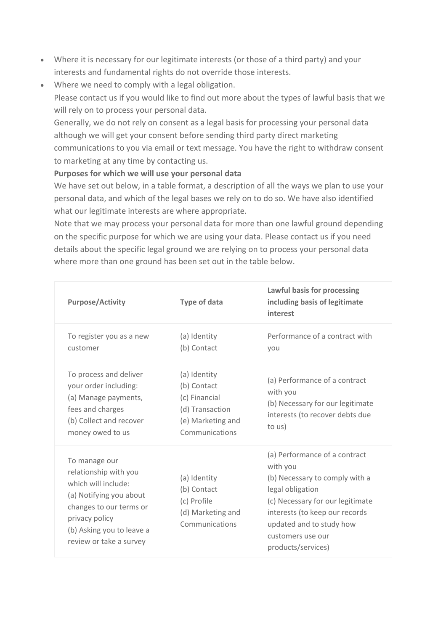- Where it is necessary for our legitimate interests (or those of a third party) and your interests and fundamental rights do not override those interests.
- Where we need to comply with a legal obligation. Please contact us if you would like to find out more about the types of lawful basis that we will rely on to process your personal data.

Generally, we do not rely on consent as a legal basis for processing your personal data although we will get your consent before sending third party direct marketing communications to you via email or text message. You have the right to withdraw consent to marketing at any time by contacting us.

## **Purposes for which we will use your personal data**

We have set out below, in a table format, a description of all the ways we plan to use your personal data, and which of the legal bases we rely on to do so. We have also identified what our legitimate interests are where appropriate.

Note that we may process your personal data for more than one lawful ground depending on the specific purpose for which we are using your data. Please contact us if you need details about the specific legal ground we are relying on to process your personal data where more than one ground has been set out in the table below.

| <b>Purpose/Activity</b>                                                                                                                                                                       | Type of data                                                                                           | Lawful basis for processing<br>including basis of legitimate<br>interest                                                                                                                                                                     |
|-----------------------------------------------------------------------------------------------------------------------------------------------------------------------------------------------|--------------------------------------------------------------------------------------------------------|----------------------------------------------------------------------------------------------------------------------------------------------------------------------------------------------------------------------------------------------|
| To register you as a new<br>customer                                                                                                                                                          | (a) Identity<br>(b) Contact                                                                            | Performance of a contract with<br>you                                                                                                                                                                                                        |
| To process and deliver<br>your order including:<br>(a) Manage payments,<br>fees and charges<br>(b) Collect and recover<br>money owed to us                                                    | (a) Identity<br>(b) Contact<br>(c) Financial<br>(d) Transaction<br>(e) Marketing and<br>Communications | (a) Performance of a contract<br>with you<br>(b) Necessary for our legitimate<br>interests (to recover debts due<br>to us)                                                                                                                   |
| To manage our<br>relationship with you<br>which will include:<br>(a) Notifying you about<br>changes to our terms or<br>privacy policy<br>(b) Asking you to leave a<br>review or take a survey | (a) Identity<br>(b) Contact<br>(c) Profile<br>(d) Marketing and<br>Communications                      | (a) Performance of a contract<br>with you<br>(b) Necessary to comply with a<br>legal obligation<br>(c) Necessary for our legitimate<br>interests (to keep our records<br>updated and to study how<br>customers use our<br>products/services) |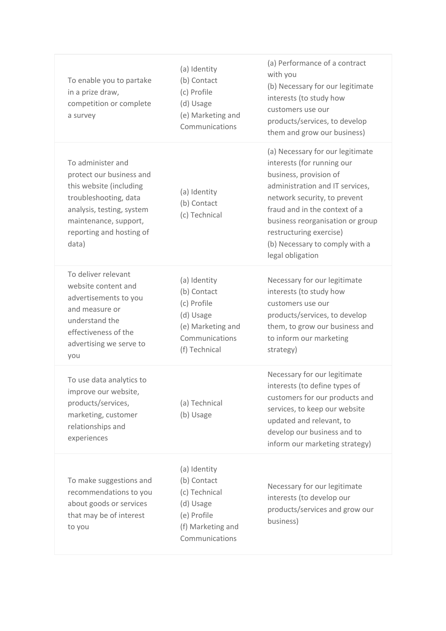| To enable you to partake<br>in a prize draw,<br>competition or complete<br>a survey                                                                                                          | (a) Identity<br>(b) Contact<br>(c) Profile<br>(d) Usage<br>(e) Marketing and<br>Communications                  | (a) Performance of a contract<br>with you<br>(b) Necessary for our legitimate<br>interests (to study how<br>customers use our<br>products/services, to develop<br>them and grow our business)                                                                                                                     |
|----------------------------------------------------------------------------------------------------------------------------------------------------------------------------------------------|-----------------------------------------------------------------------------------------------------------------|-------------------------------------------------------------------------------------------------------------------------------------------------------------------------------------------------------------------------------------------------------------------------------------------------------------------|
| To administer and<br>protect our business and<br>this website (including<br>troubleshooting, data<br>analysis, testing, system<br>maintenance, support,<br>reporting and hosting of<br>data) | (a) Identity<br>(b) Contact<br>(c) Technical                                                                    | (a) Necessary for our legitimate<br>interests (for running our<br>business, provision of<br>administration and IT services,<br>network security, to prevent<br>fraud and in the context of a<br>business reorganisation or group<br>restructuring exercise)<br>(b) Necessary to comply with a<br>legal obligation |
| To deliver relevant<br>website content and<br>advertisements to you<br>and measure or<br>understand the<br>effectiveness of the<br>advertising we serve to<br>you                            | (a) Identity<br>(b) Contact<br>(c) Profile<br>(d) Usage<br>(e) Marketing and<br>Communications<br>(f) Technical | Necessary for our legitimate<br>interests (to study how<br>customers use our<br>products/services, to develop<br>them, to grow our business and<br>to inform our marketing<br>strategy)                                                                                                                           |
| To use data analytics to<br>improve our website,<br>products/services,<br>marketing, customer<br>relationships and<br>experiences                                                            | (a) Technical<br>(b) Usage                                                                                      | Necessary for our legitimate<br>interests (to define types of<br>customers for our products and<br>services, to keep our website<br>updated and relevant, to<br>develop our business and to<br>inform our marketing strategy)                                                                                     |
| To make suggestions and<br>recommendations to you<br>about goods or services<br>that may be of interest<br>to you                                                                            | (a) Identity<br>(b) Contact<br>(c) Technical<br>(d) Usage<br>(e) Profile<br>(f) Marketing and<br>Communications | Necessary for our legitimate<br>interests (to develop our<br>products/services and grow our<br>business)                                                                                                                                                                                                          |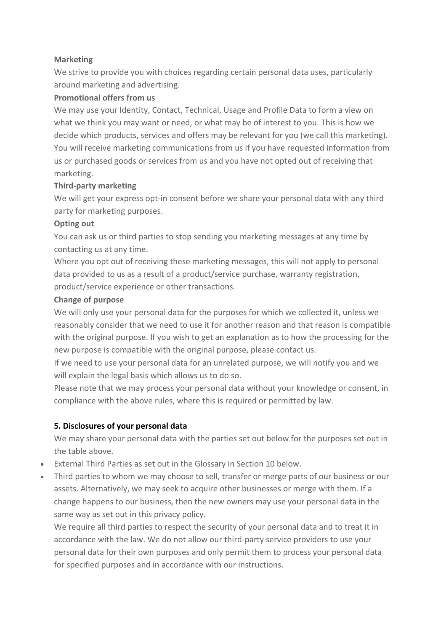#### **Marketing**

We strive to provide you with choices regarding certain personal data uses, particularly around marketing and advertising.

#### **Promotional offers from us**

We may use your Identity, Contact, Technical, Usage and Profile Data to form a view on what we think you may want or need, or what may be of interest to you. This is how we decide which products, services and offers may be relevant for you (we call this marketing). You will receive marketing communications from us if you have requested information from us or purchased goods or services from us and you have not opted out of receiving that marketing.

#### **Third-party marketing**

We will get your express opt-in consent before we share your personal data with any third party for marketing purposes.

## **Opting out**

You can ask us or third parties to stop sending you marketing messages at any time by contacting us at any time.

Where you opt out of receiving these marketing messages, this will not apply to personal data provided to us as a result of a product/service purchase, warranty registration, product/service experience or other transactions.

## **Change of purpose**

We will only use your personal data for the purposes for which we collected it, unless we reasonably consider that we need to use it for another reason and that reason is compatible with the original purpose. If you wish to get an explanation as to how the processing for the new purpose is compatible with the original purpose, please contact us.

If we need to use your personal data for an unrelated purpose, we will notify you and we will explain the legal basis which allows us to do so.

Please note that we may process your personal data without your knowledge or consent, in compliance with the above rules, where this is required or permitted by law.

## **5. Disclosures of your personal data**

We may share your personal data with the parties set out below for the purposes set out in the table above.

- External Third Parties as set out in the Glossary in Section 10 below.
- Third parties to whom we may choose to sell, transfer or merge parts of our business or our assets. Alternatively, we may seek to acquire other businesses or merge with them. If a change happens to our business, then the new owners may use your personal data in the same way as set out in this privacy policy.

We require all third parties to respect the security of your personal data and to treat it in accordance with the law. We do not allow our third-party service providers to use your personal data for their own purposes and only permit them to process your personal data for specified purposes and in accordance with our instructions.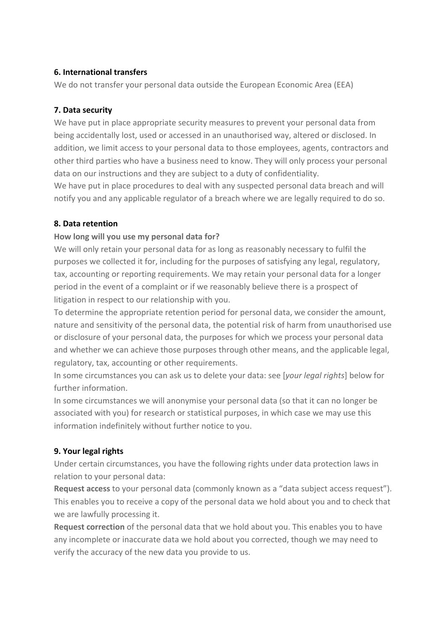## **6. International transfers**

We do not transfer your personal data outside the European Economic Area (EEA)

## **7. Data security**

We have put in place appropriate security measures to prevent your personal data from being accidentally lost, used or accessed in an unauthorised way, altered or disclosed. In addition, we limit access to your personal data to those employees, agents, contractors and other third parties who have a business need to know. They will only process your personal data on our instructions and they are subject to a duty of confidentiality.

We have put in place procedures to deal with any suspected personal data breach and will notify you and any applicable regulator of a breach where we are legally required to do so.

## **8. Data retention**

## **How long will you use my personal data for?**

We will only retain your personal data for as long as reasonably necessary to fulfil the purposes we collected it for, including for the purposes of satisfying any legal, regulatory, tax, accounting or reporting requirements. We may retain your personal data for a longer period in the event of a complaint or if we reasonably believe there is a prospect of litigation in respect to our relationship with you.

To determine the appropriate retention period for personal data, we consider the amount, nature and sensitivity of the personal data, the potential risk of harm from unauthorised use or disclosure of your personal data, the purposes for which we process your personal data and whether we can achieve those purposes through other means, and the applicable legal, regulatory, tax, accounting or other requirements.

In some circumstances you can ask us to delete your data: see [*your legal rights*] below for further information.

In some circumstances we will anonymise your personal data (so that it can no longer be associated with you) for research or statistical purposes, in which case we may use this information indefinitely without further notice to you.

## **9. Your legal rights**

Under certain circumstances, you have the following rights under data protection laws in relation to your personal data:

**Request access** to your personal data (commonly known as a "data subject access request"). This enables you to receive a copy of the personal data we hold about you and to check that we are lawfully processing it.

**Request correction** of the personal data that we hold about you. This enables you to have any incomplete or inaccurate data we hold about you corrected, though we may need to verify the accuracy of the new data you provide to us.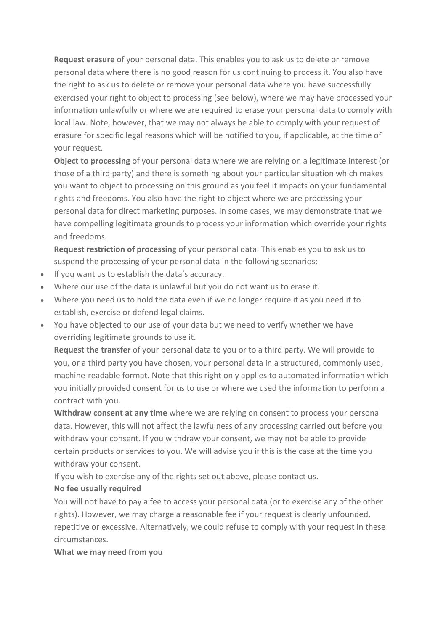**Request erasure** of your personal data. This enables you to ask us to delete or remove personal data where there is no good reason for us continuing to process it. You also have the right to ask us to delete or remove your personal data where you have successfully exercised your right to object to processing (see below), where we may have processed your information unlawfully or where we are required to erase your personal data to comply with local law. Note, however, that we may not always be able to comply with your request of erasure for specific legal reasons which will be notified to you, if applicable, at the time of your request.

**Object to processing** of your personal data where we are relying on a legitimate interest (or those of a third party) and there is something about your particular situation which makes you want to object to processing on this ground as you feel it impacts on your fundamental rights and freedoms. You also have the right to object where we are processing your personal data for direct marketing purposes. In some cases, we may demonstrate that we have compelling legitimate grounds to process your information which override your rights and freedoms.

**Request restriction of processing** of your personal data. This enables you to ask us to suspend the processing of your personal data in the following scenarios:

- If you want us to establish the data's accuracy.
- Where our use of the data is unlawful but you do not want us to erase it.
- Where you need us to hold the data even if we no longer require it as you need it to establish, exercise or defend legal claims.
- You have objected to our use of your data but we need to verify whether we have overriding legitimate grounds to use it.

**Request the transfer** of your personal data to you or to a third party. We will provide to you, or a third party you have chosen, your personal data in a structured, commonly used, machine-readable format. Note that this right only applies to automated information which you initially provided consent for us to use or where we used the information to perform a contract with you.

**Withdraw consent at any time** where we are relying on consent to process your personal data. However, this will not affect the lawfulness of any processing carried out before you withdraw your consent. If you withdraw your consent, we may not be able to provide certain products or services to you. We will advise you if this is the case at the time you withdraw your consent.

If you wish to exercise any of the rights set out above, please contact us.

#### **No fee usually required**

You will not have to pay a fee to access your personal data (or to exercise any of the other rights). However, we may charge a reasonable fee if your request is clearly unfounded, repetitive or excessive. Alternatively, we could refuse to comply with your request in these circumstances.

**What we may need from you**